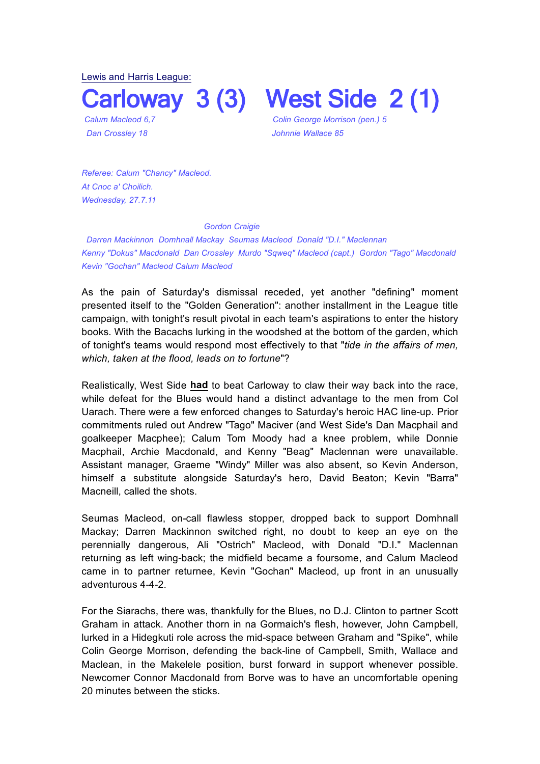Lewis and Harris League:

**Carloway 3 (3) West Side 2 (1)**

*Calum Macleod 6,7 Colin George Morrison (pen.) 5 Dan Crossley 18 Johnnie Wallace 85*

*Referee: Calum "Chancy" Macleod. At Cnoc a' Choilich. Wednesday, 27.7.11* 

## *Gordon Craigie*

*Darren Mackinnon Domhnall Mackay Seumas Macleod Donald "D.I." Maclennan Kenny "Dokus" Macdonald Dan Crossley Murdo "Sqweq" Macleod (capt.) Gordon "Tago" Macdonald Kevin "Gochan" Macleod Calum Macleod*

As the pain of Saturday's dismissal receded, yet another "defining" moment presented itself to the "Golden Generation": another installment in the League title campaign, with tonight's result pivotal in each team's aspirations to enter the history books. With the Bacachs lurking in the woodshed at the bottom of the garden, which of tonight's teams would respond most effectively to that "*tide in the affairs of men, which, taken at the flood, leads on to fortune*"?

Realistically, West Side **had** to beat Carloway to claw their way back into the race, while defeat for the Blues would hand a distinct advantage to the men from Col Uarach. There were a few enforced changes to Saturday's heroic HAC line-up. Prior commitments ruled out Andrew "Tago" Maciver (and West Side's Dan Macphail and goalkeeper Macphee); Calum Tom Moody had a knee problem, while Donnie Macphail, Archie Macdonald, and Kenny "Beag" Maclennan were unavailable. Assistant manager, Graeme "Windy" Miller was also absent, so Kevin Anderson, himself a substitute alongside Saturday's hero, David Beaton; Kevin "Barra" Macneill, called the shots.

Seumas Macleod, on-call flawless stopper, dropped back to support Domhnall Mackay; Darren Mackinnon switched right, no doubt to keep an eye on the perennially dangerous, Ali "Ostrich" Macleod, with Donald "D.I." Maclennan returning as left wing-back; the midfield became a foursome, and Calum Macleod came in to partner returnee, Kevin "Gochan" Macleod, up front in an unusually adventurous 4-4-2.

For the Siarachs, there was, thankfully for the Blues, no D.J. Clinton to partner Scott Graham in attack. Another thorn in na Gormaich's flesh, however, John Campbell, lurked in a Hidegkuti role across the mid-space between Graham and "Spike", while Colin George Morrison, defending the back-line of Campbell, Smith, Wallace and Maclean, in the Makelele position, burst forward in support whenever possible. Newcomer Connor Macdonald from Borve was to have an uncomfortable opening 20 minutes between the sticks.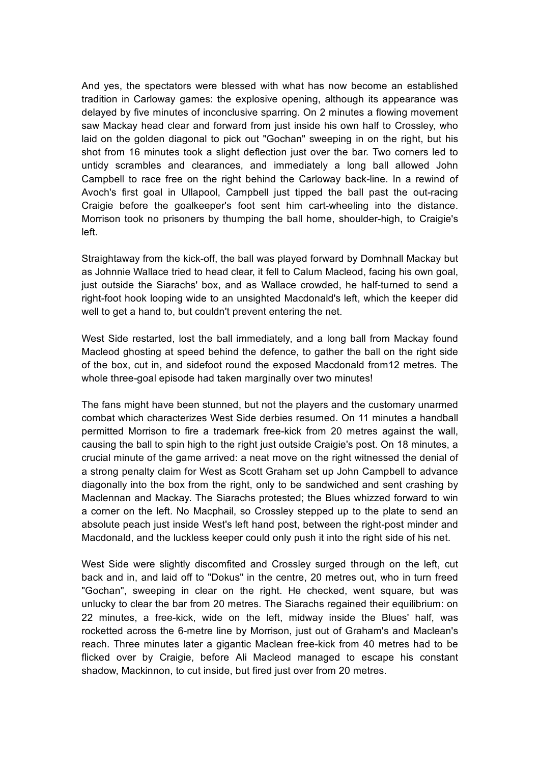And yes, the spectators were blessed with what has now become an established tradition in Carloway games: the explosive opening, although its appearance was delayed by five minutes of inconclusive sparring. On 2 minutes a flowing movement saw Mackay head clear and forward from just inside his own half to Crossley, who laid on the golden diagonal to pick out "Gochan" sweeping in on the right, but his shot from 16 minutes took a slight deflection just over the bar. Two corners led to untidy scrambles and clearances, and immediately a long ball allowed John Campbell to race free on the right behind the Carloway back-line. In a rewind of Avoch's first goal in Ullapool, Campbell just tipped the ball past the out-racing Craigie before the goalkeeper's foot sent him cart-wheeling into the distance. Morrison took no prisoners by thumping the ball home, shoulder-high, to Craigie's left.

Straightaway from the kick-off, the ball was played forward by Domhnall Mackay but as Johnnie Wallace tried to head clear, it fell to Calum Macleod, facing his own goal, just outside the Siarachs' box, and as Wallace crowded, he half-turned to send a right-foot hook looping wide to an unsighted Macdonald's left, which the keeper did well to get a hand to, but couldn't prevent entering the net.

West Side restarted, lost the ball immediately, and a long ball from Mackay found Macleod ghosting at speed behind the defence, to gather the ball on the right side of the box, cut in, and sidefoot round the exposed Macdonald from12 metres. The whole three-goal episode had taken marginally over two minutes!

The fans might have been stunned, but not the players and the customary unarmed combat which characterizes West Side derbies resumed. On 11 minutes a handball permitted Morrison to fire a trademark free-kick from 20 metres against the wall, causing the ball to spin high to the right just outside Craigie's post. On 18 minutes, a crucial minute of the game arrived: a neat move on the right witnessed the denial of a strong penalty claim for West as Scott Graham set up John Campbell to advance diagonally into the box from the right, only to be sandwiched and sent crashing by Maclennan and Mackay. The Siarachs protested; the Blues whizzed forward to win a corner on the left. No Macphail, so Crossley stepped up to the plate to send an absolute peach just inside West's left hand post, between the right-post minder and Macdonald, and the luckless keeper could only push it into the right side of his net.

West Side were slightly discomfited and Crossley surged through on the left, cut back and in, and laid off to "Dokus" in the centre, 20 metres out, who in turn freed "Gochan", sweeping in clear on the right. He checked, went square, but was unlucky to clear the bar from 20 metres. The Siarachs regained their equilibrium: on 22 minutes, a free-kick, wide on the left, midway inside the Blues' half, was rocketted across the 6-metre line by Morrison, just out of Graham's and Maclean's reach. Three minutes later a gigantic Maclean free-kick from 40 metres had to be flicked over by Craigie, before Ali Macleod managed to escape his constant shadow, Mackinnon, to cut inside, but fired just over from 20 metres.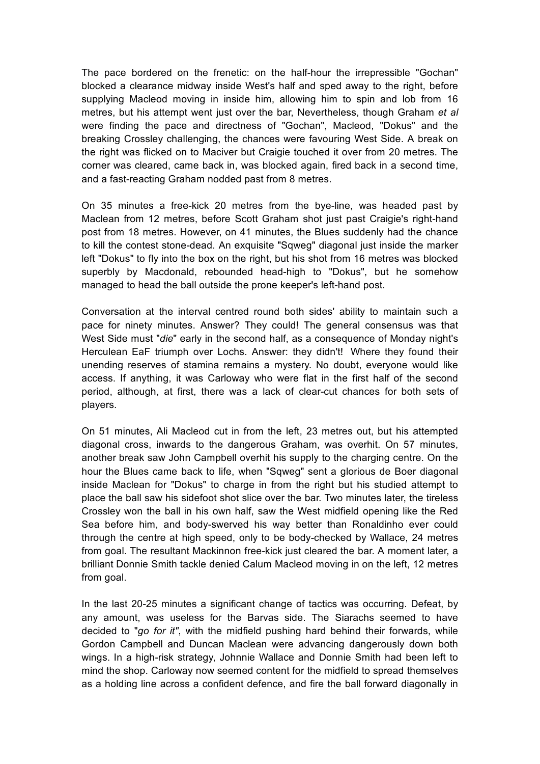The pace bordered on the frenetic: on the half-hour the irrepressible "Gochan" blocked a clearance midway inside West's half and sped away to the right, before supplying Macleod moving in inside him, allowing him to spin and lob from 16 metres, but his attempt went just over the bar, Nevertheless, though Graham *et al* were finding the pace and directness of "Gochan", Macleod, "Dokus" and the breaking Crossley challenging, the chances were favouring West Side. A break on the right was flicked on to Maciver but Craigie touched it over from 20 metres. The corner was cleared, came back in, was blocked again, fired back in a second time, and a fast-reacting Graham nodded past from 8 metres.

On 35 minutes a free-kick 20 metres from the bye-line, was headed past by Maclean from 12 metres, before Scott Graham shot just past Craigie's right-hand post from 18 metres. However, on 41 minutes, the Blues suddenly had the chance to kill the contest stone-dead. An exquisite "Sqweg" diagonal just inside the marker left "Dokus" to fly into the box on the right, but his shot from 16 metres was blocked superbly by Macdonald, rebounded head-high to "Dokus", but he somehow managed to head the ball outside the prone keeper's left-hand post.

Conversation at the interval centred round both sides' ability to maintain such a pace for ninety minutes. Answer? They could! The general consensus was that West Side must "*die*" early in the second half, as a consequence of Monday night's Herculean EaF triumph over Lochs. Answer: they didn't! Where they found their unending reserves of stamina remains a mystery. No doubt, everyone would like access. If anything, it was Carloway who were flat in the first half of the second period, although, at first, there was a lack of clear-cut chances for both sets of players.

On 51 minutes, Ali Macleod cut in from the left, 23 metres out, but his attempted diagonal cross, inwards to the dangerous Graham, was overhit. On 57 minutes, another break saw John Campbell overhit his supply to the charging centre. On the hour the Blues came back to life, when "Sqweg" sent a glorious de Boer diagonal inside Maclean for "Dokus" to charge in from the right but his studied attempt to place the ball saw his sidefoot shot slice over the bar. Two minutes later, the tireless Crossley won the ball in his own half, saw the West midfield opening like the Red Sea before him, and body-swerved his way better than Ronaldinho ever could through the centre at high speed, only to be body-checked by Wallace, 24 metres from goal. The resultant Mackinnon free-kick just cleared the bar. A moment later, a brilliant Donnie Smith tackle denied Calum Macleod moving in on the left, 12 metres from goal.

In the last 20-25 minutes a significant change of tactics was occurring. Defeat, by any amount, was useless for the Barvas side. The Siarachs seemed to have decided to "*go for it"*, with the midfield pushing hard behind their forwards, while Gordon Campbell and Duncan Maclean were advancing dangerously down both wings. In a high-risk strategy, Johnnie Wallace and Donnie Smith had been left to mind the shop. Carloway now seemed content for the midfield to spread themselves as a holding line across a confident defence, and fire the ball forward diagonally in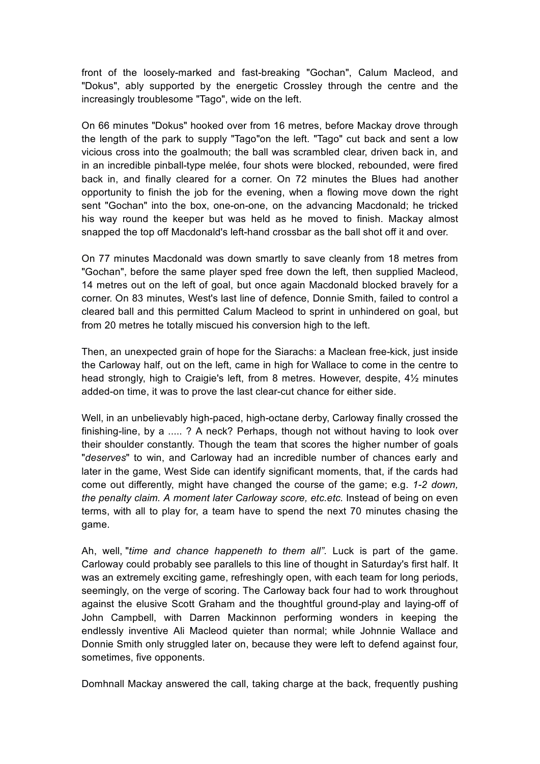front of the loosely-marked and fast-breaking "Gochan", Calum Macleod, and "Dokus", ably supported by the energetic Crossley through the centre and the increasingly troublesome "Tago", wide on the left.

On 66 minutes "Dokus" hooked over from 16 metres, before Mackay drove through the length of the park to supply "Tago"on the left. "Tago" cut back and sent a low vicious cross into the goalmouth; the ball was scrambled clear, driven back in, and in an incredible pinball-type melée, four shots were blocked, rebounded, were fired back in, and finally cleared for a corner. On 72 minutes the Blues had another opportunity to finish the job for the evening, when a flowing move down the right sent "Gochan" into the box, one-on-one, on the advancing Macdonald; he tricked his way round the keeper but was held as he moved to finish. Mackay almost snapped the top off Macdonald's left-hand crossbar as the ball shot off it and over.

On 77 minutes Macdonald was down smartly to save cleanly from 18 metres from "Gochan", before the same player sped free down the left, then supplied Macleod, 14 metres out on the left of goal, but once again Macdonald blocked bravely for a corner. On 83 minutes, West's last line of defence, Donnie Smith, failed to control a cleared ball and this permitted Calum Macleod to sprint in unhindered on goal, but from 20 metres he totally miscued his conversion high to the left.

Then, an unexpected grain of hope for the Siarachs: a Maclean free-kick, just inside the Carloway half, out on the left, came in high for Wallace to come in the centre to head strongly, high to Craigie's left, from 8 metres. However, despite, 4½ minutes added-on time, it was to prove the last clear-cut chance for either side.

Well, in an unbelievably high-paced, high-octane derby, Carloway finally crossed the finishing-line, by a ..... ? A neck? Perhaps, though not without having to look over their shoulder constantly. Though the team that scores the higher number of goals "*deserves*" to win, and Carloway had an incredible number of chances early and later in the game, West Side can identify significant moments, that, if the cards had come out differently, might have changed the course of the game; e.g. *1-2 down, the penalty claim. A moment later Carloway score, etc.etc.* Instead of being on even terms, with all to play for, a team have to spend the next 70 minutes chasing the game.

Ah, well, "*time and chance happeneth to them all".* Luck is part of the game. Carloway could probably see parallels to this line of thought in Saturday's first half. It was an extremely exciting game, refreshingly open, with each team for long periods, seemingly, on the verge of scoring. The Carloway back four had to work throughout against the elusive Scott Graham and the thoughtful ground-play and laying-off of John Campbell, with Darren Mackinnon performing wonders in keeping the endlessly inventive Ali Macleod quieter than normal; while Johnnie Wallace and Donnie Smith only struggled later on, because they were left to defend against four, sometimes, five opponents.

Domhnall Mackay answered the call, taking charge at the back, frequently pushing